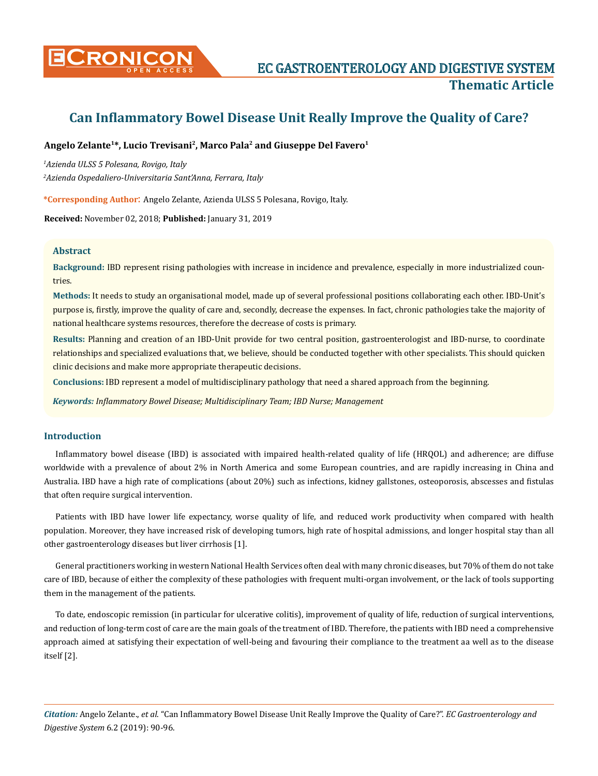

# **Can Inflammatory Bowel Disease Unit Really Improve the Quality of Care?**

# **Angelo Zelante<sup>1</sup>\*, Lucio Trevisani<sup>2</sup>, Marco Pala<sup>2</sup> and Giuseppe Del Favero<sup>1</sup>**

*1 Azienda ULSS 5 Polesana, Rovigo, Italy 2 Azienda Ospedaliero-Universitaria Sant'Anna, Ferrara, Italy*

**\*Corresponding Author**: Angelo Zelante, Azienda ULSS 5 Polesana, Rovigo, Italy.

**Received:** November 02, 2018; **Published:** January 31, 2019

### **Abstract**

**Background:** IBD represent rising pathologies with increase in incidence and prevalence, especially in more industrialized countries.

**Methods:** It needs to study an organisational model, made up of several professional positions collaborating each other. IBD-Unit's purpose is, firstly, improve the quality of care and, secondly, decrease the expenses. In fact, chronic pathologies take the majority of national healthcare systems resources, therefore the decrease of costs is primary.

**Results:** Planning and creation of an IBD-Unit provide for two central position, gastroenterologist and IBD-nurse, to coordinate relationships and specialized evaluations that, we believe, should be conducted together with other specialists. This should quicken clinic decisions and make more appropriate therapeutic decisions.

**Conclusions:** IBD represent a model of multidisciplinary pathology that need a shared approach from the beginning.

*Keywords: Inflammatory Bowel Disease; Multidisciplinary Team; IBD Nurse; Management*

## **Introduction**

Inflammatory bowel disease (IBD) is associated with impaired health-related quality of life (HRQOL) and adherence; are diffuse worldwide with a prevalence of about 2% in North America and some European countries, and are rapidly increasing in China and Australia. IBD have a high rate of complications (about 20%) such as infections, kidney gallstones, osteoporosis, abscesses and fistulas that often require surgical intervention.

Patients with IBD have lower life expectancy, worse quality of life, and reduced work productivity when compared with health population. Moreover, they have increased risk of developing tumors, high rate of hospital admissions, and longer hospital stay than all other gastroenterology diseases but liver cirrhosis [1].

General practitioners working in western National Health Services often deal with many chronic diseases, but 70% of them do not take care of IBD, because of either the complexity of these pathologies with frequent multi-organ involvement, or the lack of tools supporting them in the management of the patients.

To date, endoscopic remission (in particular for ulcerative colitis), improvement of quality of life, reduction of surgical interventions, and reduction of long-term cost of care are the main goals of the treatment of IBD. Therefore, the patients with IBD need a comprehensive approach aimed at satisfying their expectation of well-being and favouring their compliance to the treatment aa well as to the disease itself [2].

*Citation:* Angelo Zelante., *et al*. "Can Inflammatory Bowel Disease Unit Really Improve the Quality of Care?". *EC Gastroenterology and Digestive System* 6.2 (2019): 90-96.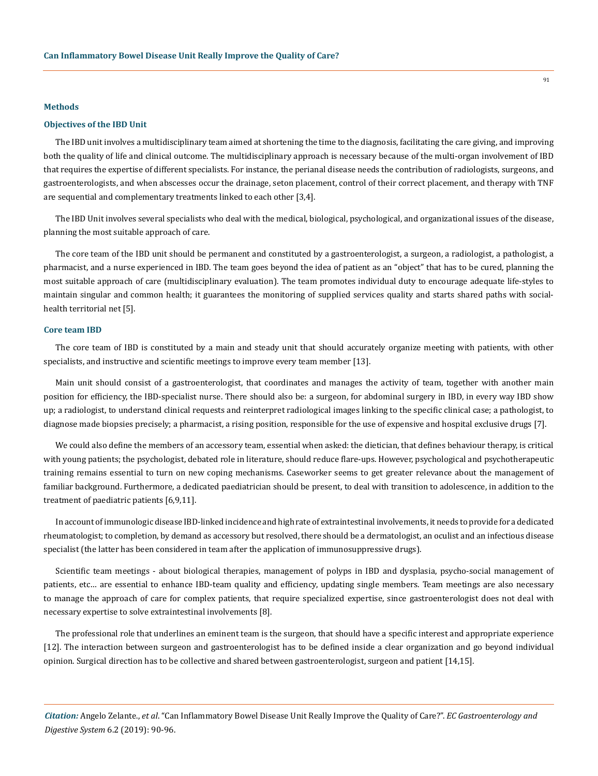#### **Methods**

#### **Objectives of the IBD Unit**

The IBD unit involves a multidisciplinary team aimed at shortening the time to the diagnosis, facilitating the care giving, and improving both the quality of life and clinical outcome. The multidisciplinary approach is necessary because of the multi-organ involvement of IBD that requires the expertise of different specialists. For instance, the perianal disease needs the contribution of radiologists, surgeons, and gastroenterologists, and when abscesses occur the drainage, seton placement, control of their correct placement, and therapy with TNF are sequential and complementary treatments linked to each other [3,4].

The IBD Unit involves several specialists who deal with the medical, biological, psychological, and organizational issues of the disease, planning the most suitable approach of care.

The core team of the IBD unit should be permanent and constituted by a gastroenterologist, a surgeon, a radiologist, a pathologist, a pharmacist, and a nurse experienced in IBD. The team goes beyond the idea of patient as an "object" that has to be cured, planning the most suitable approach of care (multidisciplinary evaluation). The team promotes individual duty to encourage adequate life-styles to maintain singular and common health; it guarantees the monitoring of supplied services quality and starts shared paths with socialhealth territorial net [5].

#### **Core team IBD**

The core team of IBD is constituted by a main and steady unit that should accurately organize meeting with patients, with other specialists, and instructive and scientific meetings to improve every team member [13].

Main unit should consist of a gastroenterologist, that coordinates and manages the activity of team, together with another main position for efficiency, the IBD-specialist nurse. There should also be: a surgeon, for abdominal surgery in IBD, in every way IBD show up; a radiologist, to understand clinical requests and reinterpret radiological images linking to the specific clinical case; a pathologist, to diagnose made biopsies precisely; a pharmacist, a rising position, responsible for the use of expensive and hospital exclusive drugs [7].

We could also define the members of an accessory team, essential when asked: the dietician, that defines behaviour therapy, is critical with young patients; the psychologist, debated role in literature, should reduce flare-ups. However, psychological and psychotherapeutic training remains essential to turn on new coping mechanisms. Caseworker seems to get greater relevance about the management of familiar background. Furthermore, a dedicated paediatrician should be present, to deal with transition to adolescence, in addition to the treatment of paediatric patients [6,9,11].

In account of immunologic disease IBD-linked incidence and high rate of extraintestinal involvements, it needs to provide for a dedicated rheumatologist; to completion, by demand as accessory but resolved, there should be a dermatologist, an oculist and an infectious disease specialist (the latter has been considered in team after the application of immunosuppressive drugs).

Scientific team meetings - about biological therapies, management of polyps in IBD and dysplasia, psycho-social management of patients, etc… are essential to enhance IBD-team quality and efficiency, updating single members. Team meetings are also necessary to manage the approach of care for complex patients, that require specialized expertise, since gastroenterologist does not deal with necessary expertise to solve extraintestinal involvements [8].

The professional role that underlines an eminent team is the surgeon, that should have a specific interest and appropriate experience [12]. The interaction between surgeon and gastroenterologist has to be defined inside a clear organization and go beyond individual opinion. Surgical direction has to be collective and shared between gastroenterologist, surgeon and patient [14,15].

*Citation:* Angelo Zelante., *et al*. "Can Inflammatory Bowel Disease Unit Really Improve the Quality of Care?". *EC Gastroenterology and Digestive System* 6.2 (2019): 90-96.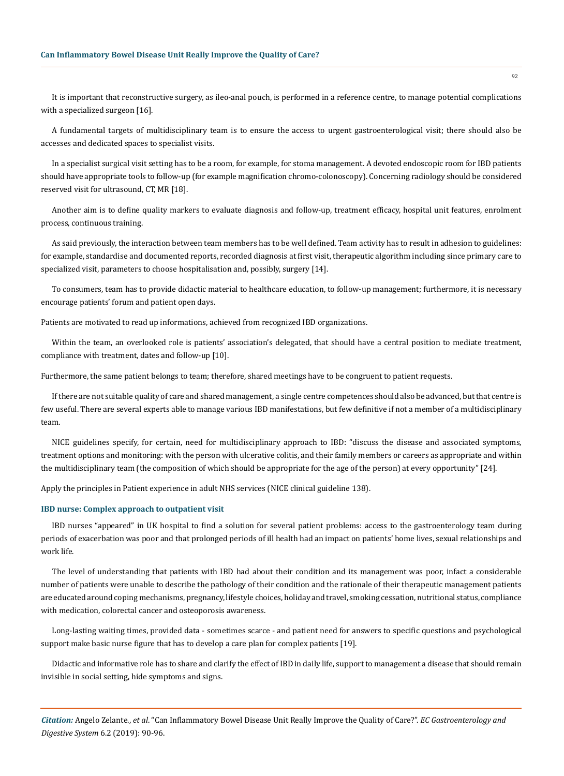It is important that reconstructive surgery, as ileo-anal pouch, is performed in a reference centre, to manage potential complications with a specialized surgeon [16].

A fundamental targets of multidisciplinary team is to ensure the access to urgent gastroenterological visit; there should also be accesses and dedicated spaces to specialist visits.

In a specialist surgical visit setting has to be a room, for example, for stoma management. A devoted endoscopic room for IBD patients should have appropriate tools to follow-up (for example magnification chromo-colonoscopy). Concerning radiology should be considered reserved visit for ultrasound, CT, MR [18].

Another aim is to define quality markers to evaluate diagnosis and follow-up, treatment efficacy, hospital unit features, enrolment process, continuous training.

As said previously, the interaction between team members has to be well defined. Team activity has to result in adhesion to guidelines: for example, standardise and documented reports, recorded diagnosis at first visit, therapeutic algorithm including since primary care to specialized visit, parameters to choose hospitalisation and, possibly, surgery [14].

To consumers, team has to provide didactic material to healthcare education, to follow-up management; furthermore, it is necessary encourage patients' forum and patient open days.

Patients are motivated to read up informations, achieved from recognized IBD organizations.

Within the team, an overlooked role is patients' association's delegated, that should have a central position to mediate treatment, compliance with treatment, dates and follow-up [10].

Furthermore, the same patient belongs to team; therefore, shared meetings have to be congruent to patient requests.

If there are not suitable quality of care and shared management, a single centre competences should also be advanced, but that centre is few useful. There are several experts able to manage various IBD manifestations, but few definitive if not a member of a multidisciplinary team.

NICE guidelines specify, for certain, need for multidisciplinary approach to IBD: "discuss the disease and associated symptoms, treatment options and monitoring: with the person with ulcerative colitis, and their family members or careers as appropriate and within the multidisciplinary team (the composition of which should be appropriate for the age of the person) at every opportunity" [24].

Apply the principles in Patient experience in adult NHS services (NICE clinical guideline 138).

#### **IBD nurse: Complex approach to outpatient visit**

IBD nurses "appeared" in UK hospital to find a solution for several patient problems: access to the gastroenterology team during periods of exacerbation was poor and that prolonged periods of ill health had an impact on patients' home lives, sexual relationships and work life.

The level of understanding that patients with IBD had about their condition and its management was poor, infact a considerable number of patients were unable to describe the pathology of their condition and the rationale of their therapeutic management patients are educated around coping mechanisms, pregnancy, lifestyle choices, holiday and travel, smoking cessation, nutritional status, compliance with medication, colorectal cancer and osteoporosis awareness.

Long-lasting waiting times, provided data - sometimes scarce - and patient need for answers to specific questions and psychological support make basic nurse figure that has to develop a care plan for complex patients [19].

Didactic and informative role has to share and clarify the effect of IBD in daily life, support to management a disease that should remain invisible in social setting, hide symptoms and signs.

*Citation:* Angelo Zelante., *et al*. "Can Inflammatory Bowel Disease Unit Really Improve the Quality of Care?". *EC Gastroenterology and Digestive System* 6.2 (2019): 90-96.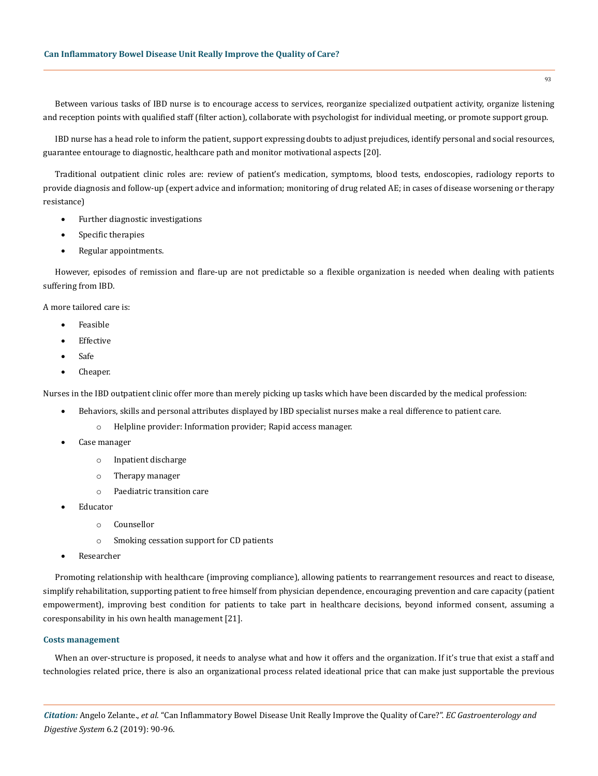Between various tasks of IBD nurse is to encourage access to services, reorganize specialized outpatient activity, organize listening and reception points with qualified staff (filter action), collaborate with psychologist for individual meeting, or promote support group.

IBD nurse has a head role to inform the patient, support expressing doubts to adjust prejudices, identify personal and social resources, guarantee entourage to diagnostic, healthcare path and monitor motivational aspects [20].

Traditional outpatient clinic roles are: review of patient's medication, symptoms, blood tests, endoscopies, radiology reports to provide diagnosis and follow-up (expert advice and information; monitoring of drug related AE; in cases of disease worsening or therapy resistance)

- Further diagnostic investigations
- • Specific therapies
- Regular appointments.

However, episodes of remission and flare-up are not predictable so a flexible organization is needed when dealing with patients suffering from IBD.

A more tailored care is:

- **Feasible**
- **Effective**
- Safe
- Cheaper.

Nurses in the IBD outpatient clinic offer more than merely picking up tasks which have been discarded by the medical profession:

- Behaviors, skills and personal attributes displayed by IBD specialist nurses make a real difference to patient care.
	- o Helpline provider: Information provider; Rapid access manager.
- Case manager
	- o Inpatient discharge
	- o Therapy manager
	- o Paediatric transition care
- **Educator** 
	- o Counsellor
	- o Smoking cessation support for CD patients
- **Researcher**

Promoting relationship with healthcare (improving compliance), allowing patients to rearrangement resources and react to disease, simplify rehabilitation, supporting patient to free himself from physician dependence, encouraging prevention and care capacity (patient empowerment), improving best condition for patients to take part in healthcare decisions, beyond informed consent, assuming a coresponsability in his own health management [21].

#### **Costs management**

When an over-structure is proposed, it needs to analyse what and how it offers and the organization. If it's true that exist a staff and technologies related price, there is also an organizational process related ideational price that can make just supportable the previous

*Citation:* Angelo Zelante., *et al*. "Can Inflammatory Bowel Disease Unit Really Improve the Quality of Care?". *EC Gastroenterology and Digestive System* 6.2 (2019): 90-96.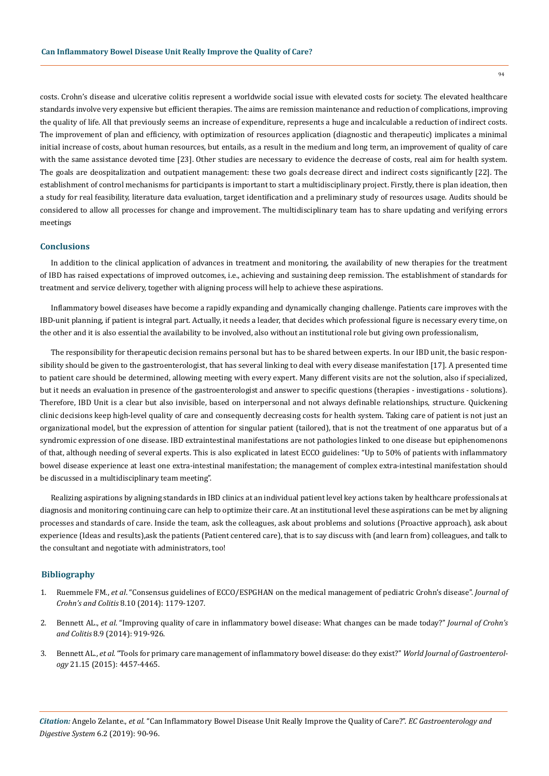costs. Crohn's disease and ulcerative colitis represent a worldwide social issue with elevated costs for society. The elevated healthcare standards involve very expensive but efficient therapies. The aims are remission maintenance and reduction of complications, improving the quality of life. All that previously seems an increase of expenditure, represents a huge and incalculable a reduction of indirect costs. The improvement of plan and efficiency, with optimization of resources application (diagnostic and therapeutic) implicates a minimal initial increase of costs, about human resources, but entails, as a result in the medium and long term, an improvement of quality of care with the same assistance devoted time [23]. Other studies are necessary to evidence the decrease of costs, real aim for health system. The goals are deospitalization and outpatient management: these two goals decrease direct and indirect costs significantly [22]. The establishment of control mechanisms for participants is important to start a multidisciplinary project. Firstly, there is plan ideation, then a study for real feasibility, literature data evaluation, target identification and a preliminary study of resources usage. Audits should be considered to allow all processes for change and improvement. The multidisciplinary team has to share updating and verifying errors meetings

## **Conclusions**

In addition to the clinical application of advances in treatment and monitoring, the availability of new therapies for the treatment of IBD has raised expectations of improved outcomes, i.e., achieving and sustaining deep remission. The establishment of standards for treatment and service delivery, together with aligning process will help to achieve these aspirations.

Inflammatory bowel diseases have become a rapidly expanding and dynamically changing challenge. Patients care improves with the IBD-unit planning, if patient is integral part. Actually, it needs a leader, that decides which professional figure is necessary every time, on the other and it is also essential the availability to be involved, also without an institutional role but giving own professionalism,

The responsibility for therapeutic decision remains personal but has to be shared between experts. In our IBD unit, the basic responsibility should be given to the gastroenterologist, that has several linking to deal with every disease manifestation [17]. A presented time to patient care should be determined, allowing meeting with every expert. Many different visits are not the solution, also if specialized, but it needs an evaluation in presence of the gastroenterologist and answer to specific questions (therapies - investigations - solutions). Therefore, IBD Unit is a clear but also invisible, based on interpersonal and not always definable relationships, structure. Quickening clinic decisions keep high-level quality of care and consequently decreasing costs for health system. Taking care of patient is not just an organizational model, but the expression of attention for singular patient (tailored), that is not the treatment of one apparatus but of a syndromic expression of one disease. IBD extraintestinal manifestations are not pathologies linked to one disease but epiphenomenons of that, although needing of several experts. This is also explicated in latest ECCO guidelines: "Up to 50% of patients with inflammatory bowel disease experience at least one extra-intestinal manifestation; the management of complex extra-intestinal manifestation should be discussed in a multidisciplinary team meeting".

Realizing aspirations by aligning standards in IBD clinics at an individual patient level key actions taken by healthcare professionals at diagnosis and monitoring continuing care can help to optimize their care. At an institutional level these aspirations can be met by aligning processes and standards of care. Inside the team, ask the colleagues, ask about problems and solutions (Proactive approach), ask about experience (Ideas and results),ask the patients (Patient centered care), that is to say discuss with (and learn from) colleagues, and talk to the consultant and negotiate with administrators, too!

## **Bibliography**

- 1. Ruemmele FM., *et al*[. "Consensus guidelines of ECCO/ESPGHAN on the medical management of pediatric Crohn's disease".](https://www.ncbi.nlm.nih.gov/pubmed/24909831) *Journal of Crohn's and Colitis* [8.10 \(2014\): 1179-1207.](https://www.ncbi.nlm.nih.gov/pubmed/24909831)
- 2. Bennett AL., *et al*[. "Improving quality of care in inflammatory bowel disease: What changes can be made today?"](https://www.ncbi.nlm.nih.gov/pubmed/24713174) *Journal of Crohn's and Colitis* [8.9 \(2014\): 919-926.](https://www.ncbi.nlm.nih.gov/pubmed/24713174)
- 3. Bennett AL., *et al*[. "Tools for primary care management of inflammatory bowel disease: do they exist?"](https://www.ncbi.nlm.nih.gov/pmc/articles/PMC4402293/) *World Journal of Gastroenterology* [21.15 \(2015\): 4457-4465.](https://www.ncbi.nlm.nih.gov/pmc/articles/PMC4402293/)

*Citation:* Angelo Zelante., *et al*. "Can Inflammatory Bowel Disease Unit Really Improve the Quality of Care?". *EC Gastroenterology and Digestive System* 6.2 (2019): 90-96.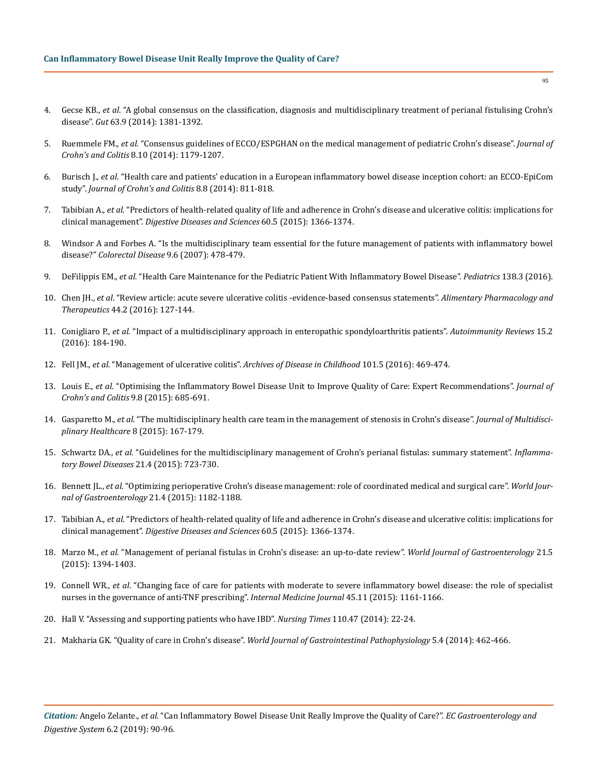- 4. Gecse KB., *et al*[. "A global consensus on the classification, diagnosis and multidisciplinary treatment of perianal fistulising Crohn's](https://www.ncbi.nlm.nih.gov/pubmed/24951257) disease". *Gut* [63.9 \(2014\): 1381-1392.](https://www.ncbi.nlm.nih.gov/pubmed/24951257)
- 5. Ruemmele FM., *et al*. "Consensus guidelines of ECCO/ESPGHAN on the medical management of pediatric Crohn's disease". *Journal of Crohn's and Colitis* 8.10 (2014): 1179-1207.
- 6. Burisch J., *et al*[. "Health care and patients' education in a European inflammatory bowel disease inception cohort: an ECCO-EpiCom](https://www.ncbi.nlm.nih.gov/pubmed/24439390) study". *[Journal of Crohn's and Colitis](https://www.ncbi.nlm.nih.gov/pubmed/24439390)* 8.8 (2014): 811-818.
- 7. Tabibian A., *et al*[. "Predictors of health-related quality of life and adherence in Crohn's disease and ulcerative colitis: implications for](https://www.ncbi.nlm.nih.gov/pubmed/25559754) clinical management". *[Digestive Diseases and Sciences](https://www.ncbi.nlm.nih.gov/pubmed/25559754)* 60.5 (2015): 1366-1374.
- 8. [Windsor A and Forbes A. "Is the multidisciplinary team essential for the future management of patients with inflammatory bowel](https://www.ncbi.nlm.nih.gov/pubmed/17573738) disease?" *[Colorectal Disease](https://www.ncbi.nlm.nih.gov/pubmed/17573738)* 9.6 (2007): 478-479.
- 9. DeFilippis EM., *et al*[. "Health Care Maintenance for the Pediatric Patient With Inflammatory Bowel Disease".](http://pediatrics.aappublications.org/content/138/3/e20151971) *Pediatrics* 138.3 (2016).
- 10. Chen JH., *et al*. "Review article: acute severe ulcerative colitis -evidence-based consensus statements". *Alimentary Pharmacology and Therapeutics* 44.2 (2016): 127-144.
- 11. Conigliaro P., *et al*[. "Impact of a multidisciplinary approach in enteropathic spondyloarthritis patients".](https://www.ncbi.nlm.nih.gov/pubmed/26554932) *Autoimmunity Reviews* 15.2 [\(2016\): 184-190.](https://www.ncbi.nlm.nih.gov/pubmed/26554932)
- 12. Fell JM., *et al*. "Management of ulcerative colitis". *[Archives of Disease in Childhood](https://www.ncbi.nlm.nih.gov/pmc/articles/PMC4853583/)* 101.5 (2016): 469-474.
- 13. Louis E., *et al*[. "Optimising the Inflammatory Bowel Disease Unit to Improve Quality of Care: Expert Recommendations".](https://www.ncbi.nlm.nih.gov/pubmed/25987349) *Journal of [Crohn's and Colitis](https://www.ncbi.nlm.nih.gov/pubmed/25987349)* 9.8 (2015): 685-691.
- 14. Gasparetto M., *et al*[. "The multidisciplinary health care team in the management of stenosis in Crohn's disease".](https://www.ncbi.nlm.nih.gov/pubmed/25878504) *Journal of Multidisci[plinary Healthcare](https://www.ncbi.nlm.nih.gov/pubmed/25878504)* 8 (2015): 167-179.
- 15. Schwartz DA., *et al*[. "Guidelines for the multidisciplinary management of Crohn's perianal fistulas: summary statement".](https://www.ncbi.nlm.nih.gov/pubmed/25751066) *Inflamma[tory Bowel Diseases](https://www.ncbi.nlm.nih.gov/pubmed/25751066)* 21.4 (2015): 723-730.
- 16. Bennett JL., *et al*[. "Optimizing perioperative Crohn's disease management: role of coordinated medical and surgical care".](https://www.ncbi.nlm.nih.gov/pubmed/25632191) *World Jour[nal of Gastroenterology](https://www.ncbi.nlm.nih.gov/pubmed/25632191)* 21.4 (2015): 1182-1188.
- 17. Tabibian A., *et al*. "Predictors of health-related quality of life and adherence in Crohn's disease and ulcerative colitis: implications for clinical management". *Digestive Diseases and Sciences* 60.5 (2015): 1366-1374.
- 18. Marzo M., *et al*[. "Management of perianal fistulas in Crohn's disease: an up-to-date review".](https://www.ncbi.nlm.nih.gov/pmc/articles/PMC4316082/) *World Journal of Gastroenterology* 21.5 [\(2015\): 1394-1403.](https://www.ncbi.nlm.nih.gov/pmc/articles/PMC4316082/)
- 19. Connell WR., *et al*[. "Changing face of care for patients with moderate to severe inflammatory bowel disease: the role of specialist](https://www.ncbi.nlm.nih.gov/pubmed/26178007) [nurses in the governance of anti-TNF prescribing".](https://www.ncbi.nlm.nih.gov/pubmed/26178007) *Internal Medicine Journal* 45.11 (2015): 1161-1166.
- 20. [Hall V. "Assessing and supporting patients who have IBD".](https://www.ncbi.nlm.nih.gov/pubmed/26012105) *Nursing Times* 110.47 (2014): 22-24.
- 21. Makharia GK. "Quality of care in Crohn's disease". *[World Journal of Gastrointestinal Pathophysiology](https://www.ncbi.nlm.nih.gov/pmc/articles/PMC4231511/)* 5.4 (2014): 462-466.